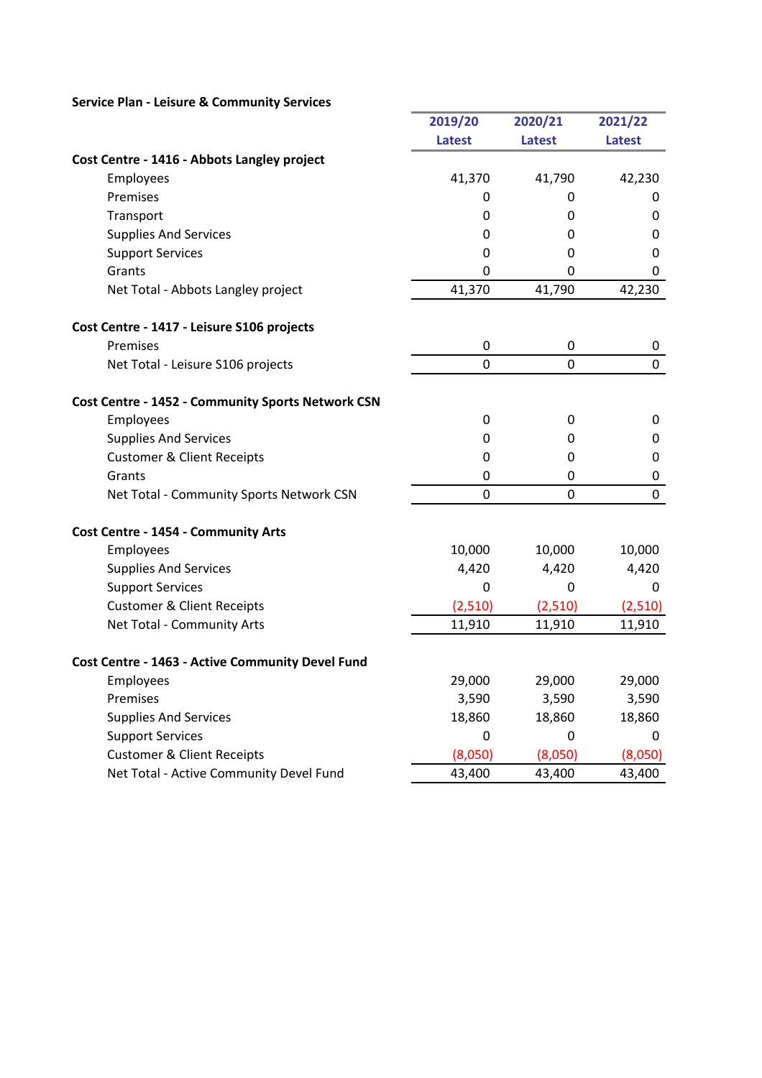## Service Plan - Leisure & Community Services

|                                                          | 2019/20        | 2020/21       | 2021/22       |
|----------------------------------------------------------|----------------|---------------|---------------|
|                                                          | <b>Latest</b>  | <b>Latest</b> | <b>Latest</b> |
| Cost Centre - 1416 - Abbots Langley project              |                |               |               |
| Employees                                                | 41,370         | 41,790        | 42,230        |
| Premises                                                 | 0              | 0             | 0             |
| Transport                                                | 0              | 0             | 0             |
| <b>Supplies And Services</b>                             | 0              | 0             | 0             |
| <b>Support Services</b>                                  | 0              | 0             | 0             |
| Grants                                                   | 0              | 0             | 0             |
| Net Total - Abbots Langley project                       | 41,370         | 41,790        | 42,230        |
| Cost Centre - 1417 - Leisure S106 projects               |                |               |               |
| Premises                                                 | $\mathbf 0$    | 0             | 0             |
| Net Total - Leisure S106 projects                        | $\overline{0}$ | 0             | $\mathbf 0$   |
| <b>Cost Centre - 1452 - Community Sports Network CSN</b> |                |               |               |
| Employees                                                | 0              | 0             | 0             |
| <b>Supplies And Services</b>                             | 0              | 0             | 0             |
| <b>Customer &amp; Client Receipts</b>                    | $\mathbf 0$    | 0             | 0             |
| Grants                                                   | 0              | 0             | 0             |
| Net Total - Community Sports Network CSN                 | $\mathbf 0$    | 0             | $\mathbf 0$   |
| Cost Centre - 1454 - Community Arts                      |                |               |               |
| Employees                                                | 10,000         | 10,000        | 10,000        |
| <b>Supplies And Services</b>                             | 4,420          | 4,420         | 4,420         |
| <b>Support Services</b>                                  | $\mathbf 0$    | 0             | 0             |
| <b>Customer &amp; Client Receipts</b>                    | (2,510)        | (2,510)       | (2,510)       |
| Net Total - Community Arts                               | 11,910         | 11,910        | 11,910        |
| Cost Centre - 1463 - Active Community Devel Fund         |                |               |               |
| Employees                                                | 29,000         | 29,000        | 29,000        |
| Premises                                                 | 3,590          | 3,590         | 3,590         |
| <b>Supplies And Services</b>                             | 18,860         | 18,860        | 18,860        |
| <b>Support Services</b>                                  | 0              | 0             | $\Omega$      |
| <b>Customer &amp; Client Receipts</b>                    | (8,050)        | (8,050)       | (8,050)       |
| Net Total - Active Community Devel Fund                  | 43,400         | 43,400        | 43,400        |

a.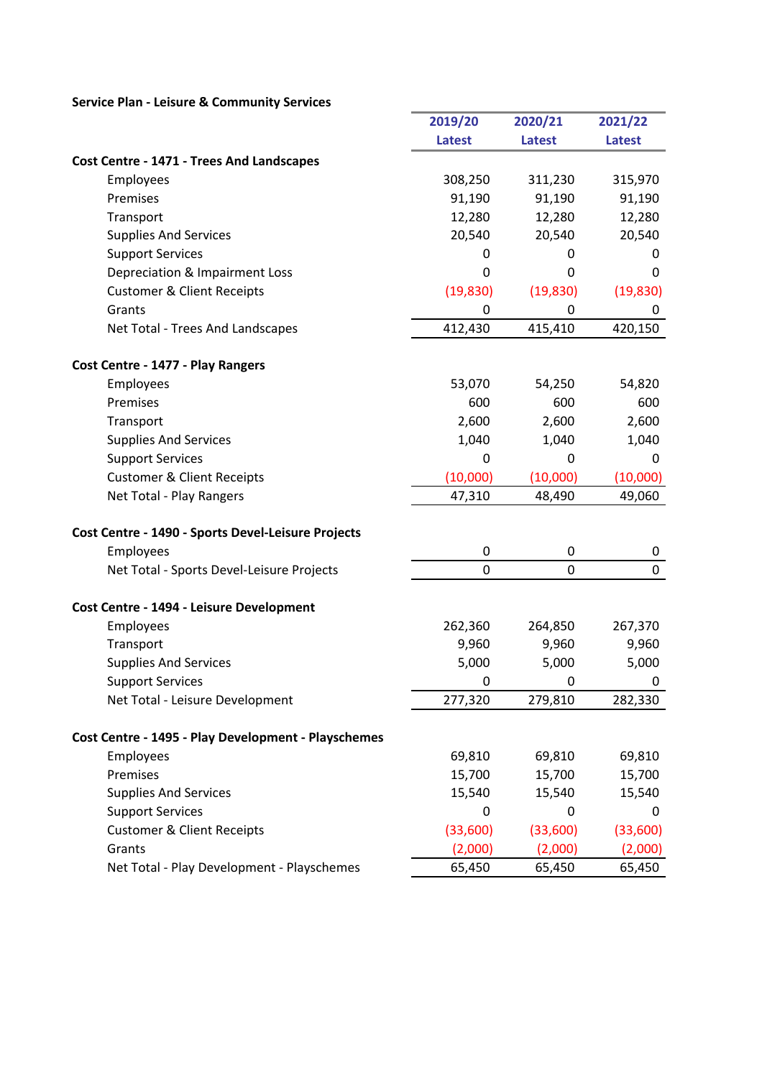## Service Plan - Leisure & Community Services

|                                                     | 2019/20        | 2020/21        | 2021/22       |
|-----------------------------------------------------|----------------|----------------|---------------|
|                                                     | <b>Latest</b>  | <b>Latest</b>  | <b>Latest</b> |
| <b>Cost Centre - 1471 - Trees And Landscapes</b>    |                |                |               |
| Employees                                           | 308,250        | 311,230        | 315,970       |
| Premises                                            | 91,190         | 91,190         | 91,190        |
| Transport                                           | 12,280         | 12,280         | 12,280        |
| <b>Supplies And Services</b>                        | 20,540         | 20,540         | 20,540        |
| <b>Support Services</b>                             | 0              | 0              | 0             |
| Depreciation & Impairment Loss                      | 0              | $\Omega$       | 0             |
| <b>Customer &amp; Client Receipts</b>               | (19, 830)      | (19, 830)      | (19, 830)     |
| Grants                                              | 0              | 0              | 0             |
| Net Total - Trees And Landscapes                    | 412,430        | 415,410        | 420,150       |
| Cost Centre - 1477 - Play Rangers                   |                |                |               |
| Employees                                           | 53,070         | 54,250         | 54,820        |
| Premises                                            | 600            | 600            | 600           |
| Transport                                           | 2,600          | 2,600          | 2,600         |
| <b>Supplies And Services</b>                        | 1,040          | 1,040          | 1,040         |
| <b>Support Services</b>                             | 0              | 0              | 0             |
| <b>Customer &amp; Client Receipts</b>               | (10,000)       | (10,000)       | (10,000)      |
| Net Total - Play Rangers                            | 47,310         | 48,490         | 49,060        |
| Cost Centre - 1490 - Sports Devel-Leisure Projects  |                |                |               |
| Employees                                           | 0              | 0              | 0             |
| Net Total - Sports Devel-Leisure Projects           | $\overline{0}$ | $\overline{0}$ | $\mathbf 0$   |
| Cost Centre - 1494 - Leisure Development            |                |                |               |
| Employees                                           | 262,360        | 264,850        | 267,370       |
| Transport                                           | 9,960          | 9,960          | 9,960         |
| <b>Supplies And Services</b>                        | 5,000          | 5,000          | 5,000         |
| <b>Support Services</b>                             | 0              | 0              | 0             |
| Net Total - Leisure Development                     | 277,320        | 279,810        | 282,330       |
| Cost Centre - 1495 - Play Development - Playschemes |                |                |               |
| Employees                                           | 69,810         | 69,810         | 69,810        |
| Premises                                            | 15,700         | 15,700         | 15,700        |
| <b>Supplies And Services</b>                        | 15,540         | 15,540         | 15,540        |
| <b>Support Services</b>                             | 0              | 0              | 0             |
| <b>Customer &amp; Client Receipts</b>               | (33,600)       | (33,600)       | (33,600)      |
| Grants                                              | (2,000)        | (2,000)        | (2,000)       |
| Net Total - Play Development - Playschemes          | 65,450         | 65,450         | 65,450        |

 $\overline{1}$